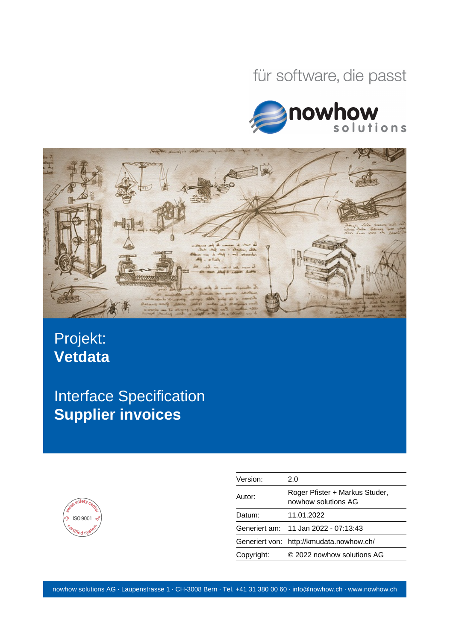# für software, die passt





# Projekt: **Vetdata**

Interface Specification **Supplier invoices**



| Version:   | 2.0                                                   |
|------------|-------------------------------------------------------|
| Autor:     | Roger Pfister + Markus Studer,<br>nowhow solutions AG |
| Datum:     | 11.01.2022                                            |
|            | Generiert am: 11 Jan 2022 - 07:13:43                  |
|            | Generiert von: http://kmudata.nowhow.ch/              |
| Copyright: | © 2022 nowhow solutions AG                            |
|            |                                                       |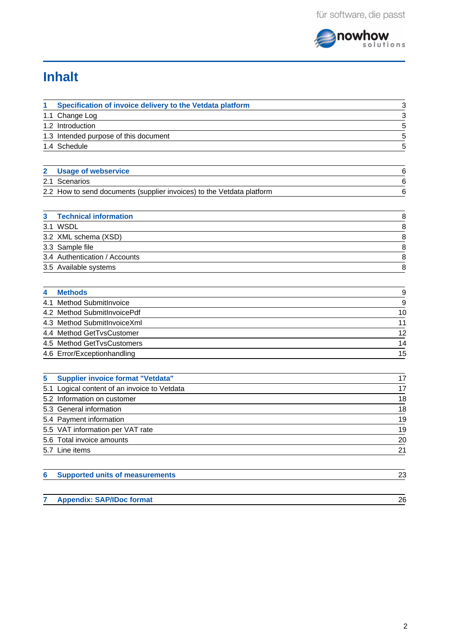

# **Inhalt**

| 1 | Specification of invoice delivery to the Vetdata platform             | 3              |
|---|-----------------------------------------------------------------------|----------------|
|   | 1.1 Change Log                                                        | $\frac{3}{5}$  |
|   | 1.2 Introduction                                                      |                |
|   | 1.3 Intended purpose of this document                                 | $\overline{5}$ |
|   | 1.4 Schedule                                                          | $\overline{5}$ |
|   |                                                                       |                |
| 2 | <b>Usage of webservice</b>                                            | 6              |
|   | 2.1 Scenarios                                                         | 6              |
|   | 2.2 How to send documents (supplier invoices) to the Vetdata platform | 6              |
|   |                                                                       |                |
| 3 | <b>Technical information</b>                                          | 8              |
|   | 3.1 WSDL                                                              | 8              |
|   | 3.2 XML schema (XSD)                                                  | 8              |
|   | 3.3 Sample file                                                       | 8              |
|   | 3.4 Authentication / Accounts                                         | 8              |
|   | 3.5 Available systems                                                 | 8              |
|   |                                                                       |                |
| 4 | <b>Methods</b>                                                        |                |
|   | 4.1 Method SubmitInvoice                                              | $\frac{9}{9}$  |
|   | 4.2 Method SubmitInvoicePdf                                           | 10             |
|   | 4.3 Method SubmitInvoiceXml                                           | 11             |
|   | 4.4 Method GetTvsCustomer                                             | 12             |
|   | 4.5 Method GetTvsCustomers                                            | 14             |
|   | 4.6 Error/Exceptionhandling                                           | 15             |
|   |                                                                       |                |
| 5 | <b>Supplier invoice format "Vetdata"</b>                              | 17             |
|   | 5.1 Logical content of an invoice to Vetdata                          | 17             |
|   | 5.2 Information on customer                                           | 18             |
|   | 5.3 General information                                               | 18             |
|   | 5.4 Payment information                                               | 19             |
|   | 5.5 VAT information per VAT rate                                      | 19             |
|   | 5.6 Total invoice amounts                                             | 20             |
|   | 5.7 Line items                                                        | 21             |
|   |                                                                       |                |
| 6 | <b>Supported units of measurements</b>                                | 23             |
|   |                                                                       |                |

| <b>Appendix: SAP/IDoc format</b> | ጋሬ |
|----------------------------------|----|
|                                  |    |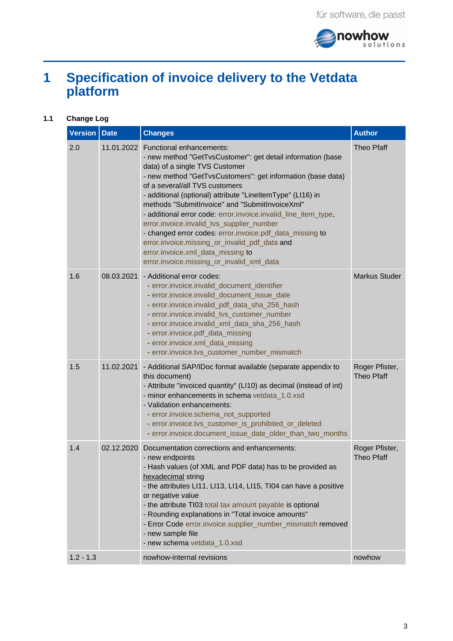

# <span id="page-2-0"></span>**1 Specification of invoice delivery to the Vetdata platform**

## **1.1 Change Log**

<span id="page-2-1"></span>

| Version   Date |            | <b>Changes</b>                                                                                                                                                                                                                                                                                                                                                                                                                                                                                                                                                                                                                                                      | <b>Author</b>                       |
|----------------|------------|---------------------------------------------------------------------------------------------------------------------------------------------------------------------------------------------------------------------------------------------------------------------------------------------------------------------------------------------------------------------------------------------------------------------------------------------------------------------------------------------------------------------------------------------------------------------------------------------------------------------------------------------------------------------|-------------------------------------|
| 2.0            |            | 11.01.2022 Functional enhancements:<br>- new method "GetTvsCustomer": get detail information (base<br>data) of a single TVS Customer<br>- new method "GetTvsCustomers": get information (base data)<br>of a several/all TVS customers<br>- additional (optional) attribute "LineItemType" (LI16) in<br>methods "SubmitInvoice" and "SubmitInvoiceXml"<br>- additional error code: error.invoice.invalid line item type,<br>error.invoice.invalid_tvs_supplier_number<br>- changed error codes: error.invoice.pdf_data_missing to<br>error.invoice.missing_or_invalid_pdf_data and<br>error.invoice.xml_data_missing to<br>error.invoice.missing or invalid xml data | <b>Theo Pfaff</b>                   |
| 1.6            |            | 08.03.2021 - Additional error codes:<br>- error.invoice.invalid_document_identifier<br>- error.invoice.invalid document issue date<br>- error.invoice.invalid_pdf_data_sha_256_hash<br>- error.invoice.invalid_tvs_customer_number<br>- error.invoice.invalid_xml_data_sha_256_hash<br>- error.invoice.pdf data missing<br>- error.invoice.xml data missing<br>- error.invoice.tvs_customer_number_mismatch                                                                                                                                                                                                                                                         | Markus Studer                       |
| 1.5            |            | 11.02.2021 - Additional SAP/IDoc format available (separate appendix to<br>this document)<br>- Attribute "invoiced quantity" (LI10) as decimal (instead of int)<br>- minor enhancements in schema vetdata_1.0.xsd<br>- Validation enhancements:<br>- error.invoice.schema_not_supported<br>- error.invoice.tvs_customer_is_prohibited_or_deleted<br>- error.invoice.document_issue_date_older_than_two_months                                                                                                                                                                                                                                                       | Roger Pfister,<br><b>Theo Pfaff</b> |
| 1.4            | 02.12.2020 | Documentation corrections and enhancements:<br>- new endpoints<br>- Hash values (of XML and PDF data) has to be provided as<br>hexadecimal string<br>- the attributes LI11, LI13, LI14, LI15, TI04 can have a positive<br>or negative value<br>- the attribute TI03 total tax amount payable is optional<br>- Rounding explanations in "Total invoice amounts"<br>- Error Code error.invoice.supplier number mismatch removed<br>- new sample file<br>- new schema vetdata_1.0.xsd                                                                                                                                                                                  | Roger Pfister,<br><b>Theo Pfaff</b> |
| $1.2 - 1.3$    |            | nowhow-internal revisions                                                                                                                                                                                                                                                                                                                                                                                                                                                                                                                                                                                                                                           | nowhow                              |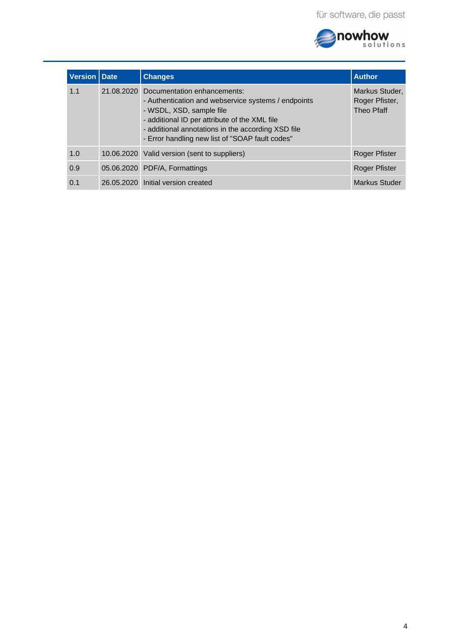

| Version   Date | <b>Changes</b>                                                                                                                                                                                                                                                                      | <b>Author</b>                                  |
|----------------|-------------------------------------------------------------------------------------------------------------------------------------------------------------------------------------------------------------------------------------------------------------------------------------|------------------------------------------------|
| 1.1            | 21.08.2020 Documentation enhancements:<br>- Authentication and webservice systems / endpoints<br>- WSDL, XSD, sample file<br>- additional ID per attribute of the XML file<br>- additional annotations in the according XSD file<br>- Error handling new list of "SOAP fault codes" | Markus Studer,<br>Roger Pfister,<br>Theo Pfaff |
| 1.0            | 10.06.2020 Valid version (sent to suppliers)                                                                                                                                                                                                                                        | <b>Roger Pfister</b>                           |
| 0.9            | 05.06.2020 PDF/A, Formattings                                                                                                                                                                                                                                                       | <b>Roger Pfister</b>                           |
| 0.1            | 26.05.2020 Initial version created                                                                                                                                                                                                                                                  | Markus Studer                                  |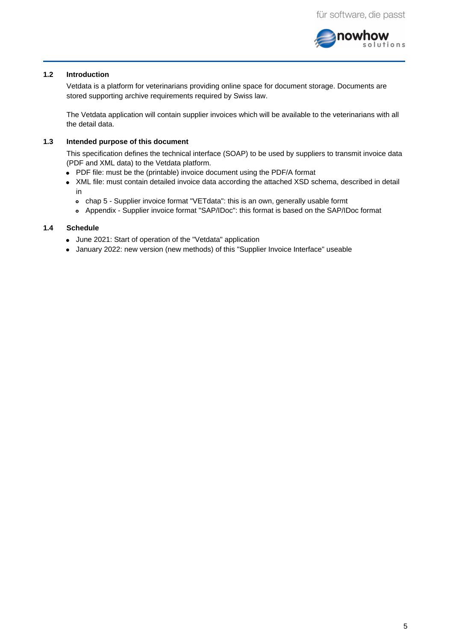

#### **1.2 Introduction**

<span id="page-4-0"></span>Vetdata is a platform for veterinarians providing online space for document storage. Documents are stored supporting archive requirements required by Swiss law.

The Vetdata application will contain supplier invoices which will be available to the veterinarians with all the detail data.

#### **1.3 Intended purpose of this document**

<span id="page-4-1"></span>This specification defines the technical interface (SOAP) to be used by suppliers to transmit invoice data (PDF and XML data) to the Vetdata platform.

- PDF file: must be the (printable) invoice document using the PDF/A format
- XML file: must contain detailed invoice data according the attached XSD schema, described in detail in
	- chap 5 Supplier invoice format "VETdata": this is an own, generally usable formt
	- Appendix Supplier invoice format "SAP/IDoc": this format is based on the SAP/IDoc format

#### **1.4 Schedule**

- <span id="page-4-2"></span>June 2021: Start of operation of the "Vetdata" application
- January 2022: new version (new methods) of this "Supplier Invoice Interface" useable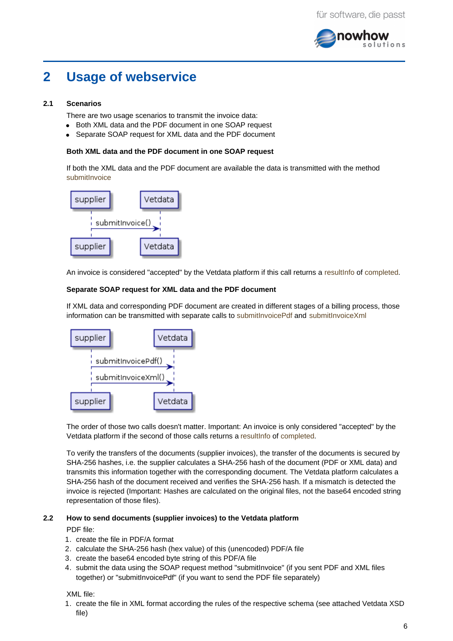

## <span id="page-5-0"></span>**2 Usage of webservice**

#### **2.1 Scenarios**

<span id="page-5-1"></span>There are two usage scenarios to transmit the invoice data:

- Both XML data and the PDF document in one SOAP request
- Separate SOAP request for XML data and the PDF document

## **Both XML data and the PDF document in one SOAP request**

If both the XML data and the PDF document are available the data is transmitted with the method submitInvoice



An invoice is considered "accepted" by the Vetdata platform if this call returns a resultInfo of completed.

## **Separate SOAP request for XML data and the PDF document**

If XML data and corresponding PDF document are created in different stages of a billing process, those information can be transmitted with separate calls to submitInvoicePdf and submitInvoiceXml



The order of those two calls doesn't matter. Important: An invoice is only considered "accepted" by the Vetdata platform if the second of those calls returns a resultInfo of completed.

To verify the transfers of the documents (supplier invoices), the transfer of the documents is secured by SHA-256 hashes, i.e. the supplier calculates a SHA-256 hash of the document (PDF or XML data) and transmits this information together with the corresponding document. The Vetdata platform calculates a SHA-256 hash of the document received and verifies the SHA-256 hash. If a mismatch is detected the invoice is rejected (Important: Hashes are calculated on the original files, not the base64 encoded string representation of those files).

#### **2.2 How to send documents (supplier invoices) to the Vetdata platform**

<span id="page-5-2"></span>PDF file:

- 1. create the file in PDF/A format
- 2. calculate the SHA-256 hash (hex value) of this (unencoded) PDF/A file
- 3. create the base64 encoded byte string of this PDF/A file
- 4. submit the data using the SOAP request method "submitInvoice" (if you sent PDF and XML files together) or "submitInvoicePdf" (if you want to send the PDF file separately)

XML file:

1. create the file in XML format according the rules of the respective schema (see attached Vetdata XSD file)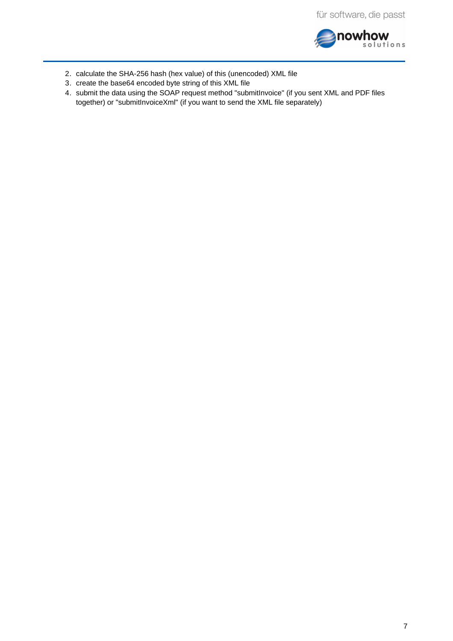

- 2. calculate the SHA-256 hash (hex value) of this (unencoded) XML file
- 3. create the base64 encoded byte string of this XML file
- 4. submit the data using the SOAP request method "submitInvoice" (if you sent XML and PDF files together) or "submitInvoiceXml" (if you want to send the XML file separately)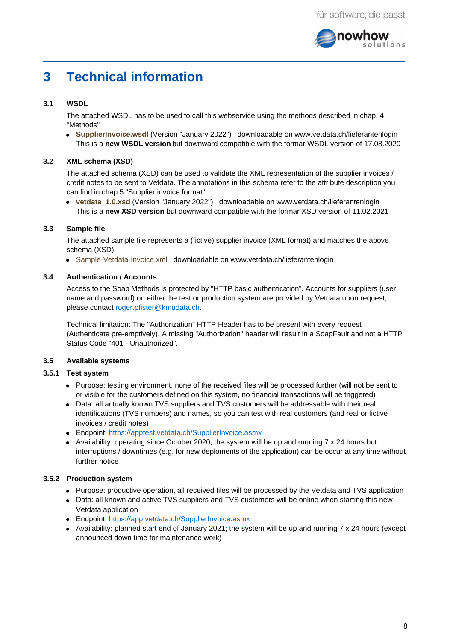

## <span id="page-7-0"></span>**3 Technical information**

## **3.1 WSDL**

<span id="page-7-1"></span>The attached WSDL has to be used to call this webservice using the methods described in chap. 4 "Methods"

**SupplierInvoice.wsdl** (Version "January 2022") downloadable on www.vetdata.ch/lieferantenlogin This is a **new WSDL version** but downward compatible with the formar WSDL version of 17.08.2020

## **3.2 XML schema (XSD)**

<span id="page-7-2"></span>The attached schema (XSD) can be used to validate the XML representation of the supplier invoices / credit notes to be sent to Vetdata. The annotations in this schema refer to the attribute description you can find in chap 5 "Supplier invoice format".

**vetdata\_1.0.xsd** (Version "January 2022") downloadable on www.vetdata.ch/lieferantenlogin This is a **new XSD version** but downward compatible with the formar XSD version of 11.02.2021

## **3.3 Sample file**

<span id="page-7-3"></span>The attached sample file represents a (fictive) supplier invoice (XML format) and matches the above schema (XSD).

Sample-Vetdata-Invoice.xml downloadable on www.vetdata.ch/lieferantenlogin

### **3.4 Authentication / Accounts**

<span id="page-7-4"></span>Access to the Soap Methods is protected by "HTTP basic authentication". Accounts for suppliers (user name and password) on either the test or production system are provided by Vetdata upon request, please contact [roger.pfister@kmudata.ch](mailto:roger.pfister@kmudata.ch).

Technical limitation: The "Authorization" HTTP Header has to be present with every request (Authenticate pre-emptively). A missing "Authorization" header will result in a SoapFault and not a HTTP Status Code "401 - Unauthorized".

### <span id="page-7-5"></span>**3.5 Available systems**

# **3.5.1 Test system**

- Purpose: testing environment, none of the received files will be processed further (will not be sent to or visible for the customers defined on this system, no financial transactions will be triggered)
- Data: all actually known TVS suppliers and TVS customers will be addressable with their real identifications (TVS numbers) and names, so you can test with real customers (and real or fictive invoices / credit notes)
- Endpoint: <https://apptest.vetdata.ch/SupplierInvoice.asmx>
- Availability: operating since October 2020; the system will be up and running  $7 \times 24$  hours but interruptions / downtimes (e.g. for new deploments of the application) can be occur at any time without further notice

# **3.5.2 Production system**

- Purpose: productive operation, all received files will be processed by the Vetdata and TVS application
- Data: all known and active TVS suppliers and TVS customers will be online when starting this new Vetdata application
- Endpoint: <https://app.vetdata.ch/SupplierInvoice.asmx>
- Availability: planned start end of January 2021; the system will be up and running  $7 \times 24$  hours (except announced down time for maintenance work)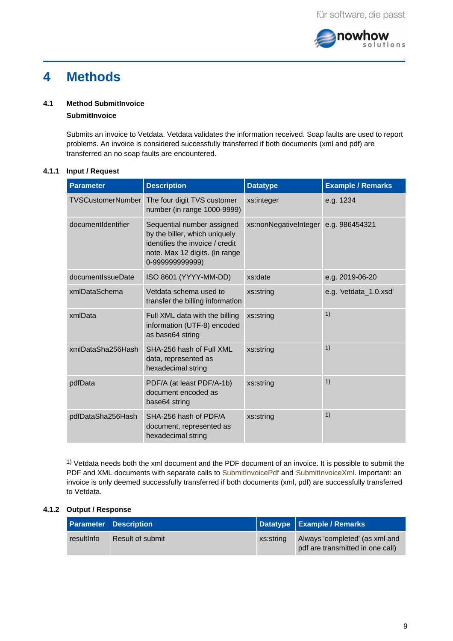

## <span id="page-8-0"></span>**4 Methods**

## **4.1 Method SubmitInvoice**

# <span id="page-8-1"></span>**SubmitInvoice**

Submits an invoice to Vetdata. Vetdata validates the information received. Soap faults are used to report problems. An invoice is considered successfully transferred if both documents (xml and pdf) are transferred an no soap faults are encountered.

# **4.1.1 Input / Request**

| <b>Parameter</b>         | <b>Description</b>                                                                                                                                 | <b>Datatype</b>       | <b>Example / Remarks</b> |
|--------------------------|----------------------------------------------------------------------------------------------------------------------------------------------------|-----------------------|--------------------------|
| <b>TVSCustomerNumber</b> | The four digit TVS customer<br>number (in range 1000-9999)                                                                                         | xs:integer            | e.g. 1234                |
| documentIdentifier       | Sequential number assigned<br>by the biller, which uniquely<br>identifies the invoice / credit<br>note. Max 12 digits. (in range<br>0-99999999999) | xs:nonNegativeInteger | e.g. 986454321           |
| documentIssueDate        | ISO 8601 (YYYY-MM-DD)                                                                                                                              | xs:date               | e.g. 2019-06-20          |
| xmlDataSchema            | Vetdata schema used to<br>transfer the billing information                                                                                         | xs:string             | e.g. 'vetdata 1.0.xsd'   |
| xmlData                  | Full XML data with the billing<br>information (UTF-8) encoded<br>as base64 string                                                                  | xs:string             | 1)                       |
| xmlDataSha256Hash        | SHA-256 hash of Full XML<br>data, represented as<br>hexadecimal string                                                                             | xs:string             | 1)                       |
| pdfData                  | PDF/A (at least PDF/A-1b)<br>document encoded as<br>base64 string                                                                                  | xs:string             | 1)                       |
| pdfDataSha256Hash        | SHA-256 hash of PDF/A<br>document, represented as<br>hexadecimal string                                                                            | xs:string             | 1)                       |

 $^{1)}$  Vetdata needs both the xml document and the PDF document of an invoice. It is possible to submit the PDF and XML documents with separate calls to [SubmitInvoicePdf](/kmudata/foswiki/bin/view/Kmudata/SubmitInvoicePdfLieferantenRechnungenFunktion) and [SubmitInvoiceXml.](/kmudata/foswiki/bin/view/Kmudata/SubmitInvoiceXmlLieferantenRechnungenFunktion) Important: an invoice is only deemed successfully transferred if both documents (xml, pdf) are successfully transferred to Vetdata.

# **4.1.2 Output / Response**

|            | <b>Parameter Description</b> |           | Datatype   Example / Remarks                                       |
|------------|------------------------------|-----------|--------------------------------------------------------------------|
| resultInfo | Result of submit             | xs:string | Always 'completed' (as xml and<br>pdf are transmitted in one call) |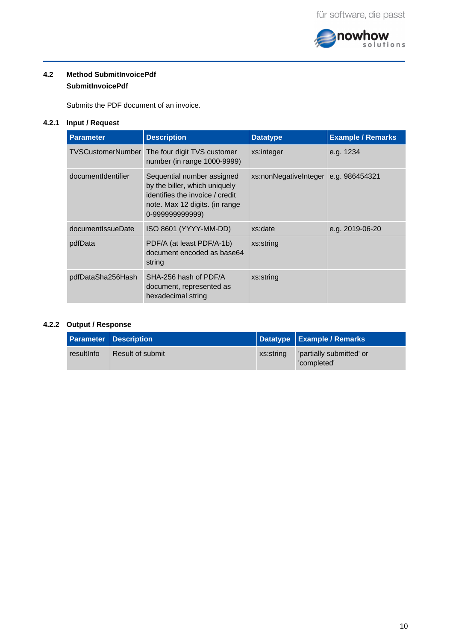

## <span id="page-9-0"></span>**4.2 Method SubmitInvoicePdf SubmitInvoicePdf**

Submits the PDF document of an invoice.

# **4.2.1 Input / Request**

| <b>Parameter</b>         | <b>Description</b>                                                                                                                                 | <b>Datatype</b>       | <b>Example / Remarks</b> |
|--------------------------|----------------------------------------------------------------------------------------------------------------------------------------------------|-----------------------|--------------------------|
| <b>TVSCustomerNumber</b> | The four digit TVS customer<br>number (in range 1000-9999)                                                                                         | xs:integer            | e.g. 1234                |
| documentIdentifier       | Sequential number assigned<br>by the biller, which uniquely<br>identifies the invoice / credit<br>note. Max 12 digits. (in range<br>0-99999999999) | xs:nonNegativeInteger | e.g. 986454321           |
| documentIssueDate        | ISO 8601 (YYYY-MM-DD)                                                                                                                              | xs:date               | e.g. 2019-06-20          |
| pdfData                  | PDF/A (at least PDF/A-1b)<br>document encoded as base64<br>string                                                                                  | xs:string             |                          |
| pdfDataSha256Hash        | SHA-256 hash of PDF/A<br>document, represented as<br>hexadecimal string                                                                            | xs:string             |                          |

# **4.2.2 Output / Response**

|            | <b>Parameter Description</b> |           | Datatype   Example / Remarks           |
|------------|------------------------------|-----------|----------------------------------------|
| resultInfo | Result of submit             | xs:string | partially submitted' or<br>'completed' |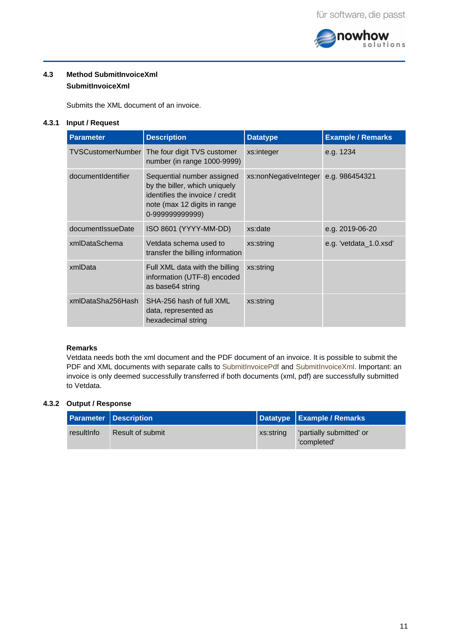

## <span id="page-10-0"></span>**4.3 Method SubmitInvoiceXml SubmitInvoiceXml**

Submits the XML document of an invoice.

# **4.3.1 Input / Request**

| <b>Parameter</b>         | <b>Description</b>                                                                                                                               | <b>Datatype</b>       | <b>Example / Remarks</b> |
|--------------------------|--------------------------------------------------------------------------------------------------------------------------------------------------|-----------------------|--------------------------|
| <b>TVSCustomerNumber</b> | The four digit TVS customer<br>number (in range 1000-9999)                                                                                       | xs:integer            | e.g. 1234                |
| documentIdentifier       | Sequential number assigned<br>by the biller, which uniquely<br>identifies the invoice / credit<br>note (max 12 digits in range<br>0-99999999999) | xs:nonNegativeInteger | e.g. 986454321           |
| documentIssueDate        | ISO 8601 (YYYY-MM-DD)                                                                                                                            | xs:date               | e.g. 2019-06-20          |
| xmlDataSchema            | Vetdata schema used to<br>transfer the billing information                                                                                       | xs:string             | e.g. 'vetdata 1.0.xsd'   |
| xmlData                  | Full XML data with the billing<br>information (UTF-8) encoded<br>as base64 string                                                                | xs:string             |                          |
| xmlDataSha256Hash        | SHA-256 hash of full XML<br>data, represented as<br>hexadecimal string                                                                           | xs:string             |                          |

## **Remarks**

Vetdata needs both the xml document and the PDF document of an invoice. It is possible to submit the PDF and XML documents with separate calls to [SubmitInvoicePdf](/kmudata/foswiki/bin/view/Kmudata/SubmitInvoicePdfLieferantenRechnungenFunktion) and [SubmitInvoiceXml.](/kmudata/foswiki/bin/view/Kmudata/SubmitInvoiceXmlLieferantenRechnungenFunktion) Important: an invoice is only deemed successfully transferred if both documents (xml, pdf) are successfully submitted to Vetdata.

# **4.3.2 Output / Response**

|            | <b>Parameter Description</b> |           | Datatype   Example / Remarks            |
|------------|------------------------------|-----------|-----------------------------------------|
| resultInfo | Result of submit             | xs:string | 'partially submitted' or<br>'completed' |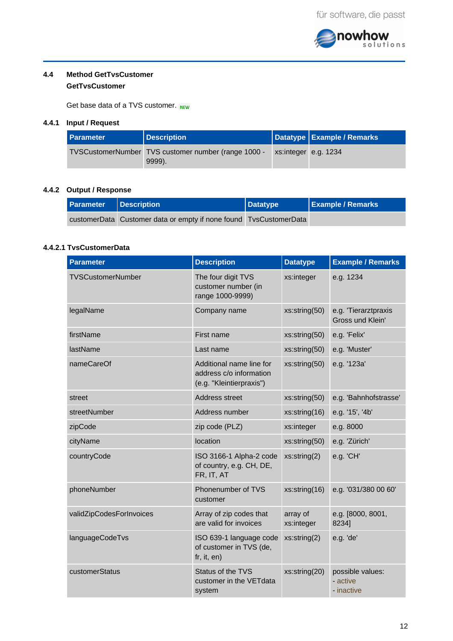

## **4.4 Method GetTvsCustomer**

# <span id="page-11-0"></span>**GetTvsCustomer**

Get base data of a TVS customer. NEW

# **4.4.1 Input / Request**

| <b>Parameter</b> | <b>Description</b>                                            |                      | Datatype   Example / Remarks |
|------------------|---------------------------------------------------------------|----------------------|------------------------------|
|                  | TVSCustomerNumber TVS customer number (range 1000 -<br>9999). | xs:integer e.g. 1234 |                              |

# **4.4.2 Output / Response**

| Parameter | <b>Description</b>                                                | $\vert$ Datatype | <b>Example / Remarks</b> |
|-----------|-------------------------------------------------------------------|------------------|--------------------------|
|           | customerData Customer data or empty if none found TvsCustomerData |                  |                          |

# **4.4.2.1 TvsCustomerData**

| <b>Parameter</b>         | <b>Description</b>                                                              | <b>Datatype</b>        | <b>Example / Remarks</b>                   |
|--------------------------|---------------------------------------------------------------------------------|------------------------|--------------------------------------------|
| TVSCustomerNumber        | The four digit TVS<br>customer number (in<br>range 1000-9999)                   | xs:integer             | e.g. 1234                                  |
| legalName                | Company name                                                                    | xs:string(50)          | e.g. 'Tierarztpraxis<br>Gross und Klein'   |
| firstName                | First name                                                                      | xs:string(50)          | e.g. 'Felix'                               |
| lastName                 | Last name                                                                       | xs:string(50)          | e.g. 'Muster'                              |
| nameCareOf               | Additional name line for<br>address c/o information<br>(e.g. "Kleintierpraxis") | xs:string(50)          | e.g. '123a'                                |
| street                   | Address street                                                                  | xs:string(50)          | e.g. 'Bahnhofstrasse'                      |
| streetNumber             | Address number                                                                  | xs:string(16)          | e.g. '15', '4b'                            |
| zipCode                  | zip code (PLZ)                                                                  | xs:integer             | e.g. 8000                                  |
| cityName                 | location                                                                        | xs:string(50)          | e.g. 'Zürich'                              |
| countryCode              | ISO 3166-1 Alpha-2 code<br>of country, e.g. CH, DE,<br>FR, IT, AT               | xs:string(2)           | e.g. 'CH'                                  |
| phoneNumber              | Phonenumber of TVS<br>customer                                                  | xs:string(16)          | e.g. '031/380 00 60'                       |
| validZipCodesForInvoices | Array of zip codes that<br>are valid for invoices                               | array of<br>xs:integer | e.g. [8000, 8001,<br>8234]                 |
| languageCodeTvs          | ISO 639-1 language code<br>of customer in TVS (de,<br>fr, it, en)               | xs:string(2)           | e.g. 'de'                                  |
| customerStatus           | Status of the TVS<br>customer in the VET data<br>system                         | xs:string(20)          | possible values:<br>- active<br>- inactive |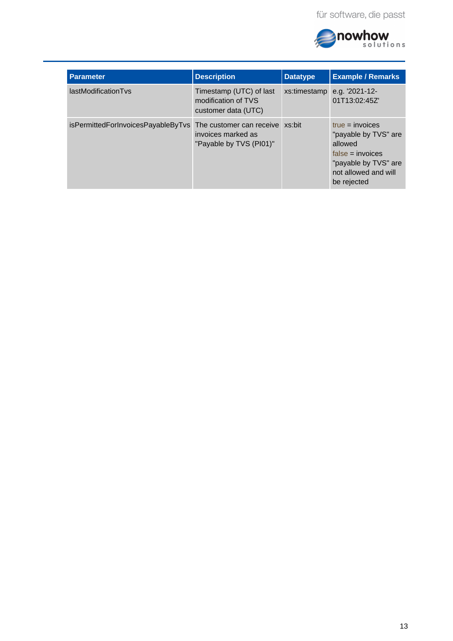

| <b>Parameter</b>                   | <b>Description</b>                                                               | <b>Datatype</b> | <b>Example / Remarks</b>                                                                                                                  |
|------------------------------------|----------------------------------------------------------------------------------|-----------------|-------------------------------------------------------------------------------------------------------------------------------------------|
| lastModificationTvs                | Timestamp (UTC) of last<br>modification of TVS<br>customer data (UTC)            | xs:timestamp    | e.g. '2021-12-<br>01T13:02:45Z'                                                                                                           |
| isPermittedForInvoicesPayableByTvs | The customer can receive xs:bit<br>invoices marked as<br>"Payable by TVS (PI01)" |                 | $true = invoices$<br>"payable by TVS" are<br>allowed<br>$false = invoices$<br>"payable by TVS" are<br>not allowed and will<br>be rejected |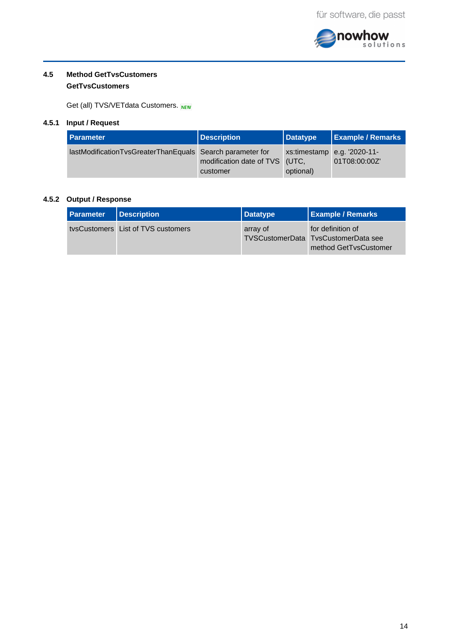

## <span id="page-13-0"></span>**4.5 Method GetTvsCustomers GetTvsCustomers**

Get (all) TVS/VETdata Customers. NEW

## **4.5.1 Input / Request**

| <b>Parameter</b>                                          | Description                                | $\vert$ Datatype | <b>Example / Remarks</b>                     |
|-----------------------------------------------------------|--------------------------------------------|------------------|----------------------------------------------|
| lastModificationTvsGreaterThanEquals Search parameter for | modification date of TVS (UTC,<br>customer | optional)        | xs:timestamp e.g. '2020-11-<br>01T08:00:00Z' |

# **4.5.2 Output / Response**

| Parameter | <b>Description</b>                 | Datatype | <b>Example / Remarks</b>                                                          |
|-----------|------------------------------------|----------|-----------------------------------------------------------------------------------|
|           | tysCustomers List of TVS customers | array of | for definition of<br>TVSCustomerData TysCustomerData see<br>method GetTysCustomer |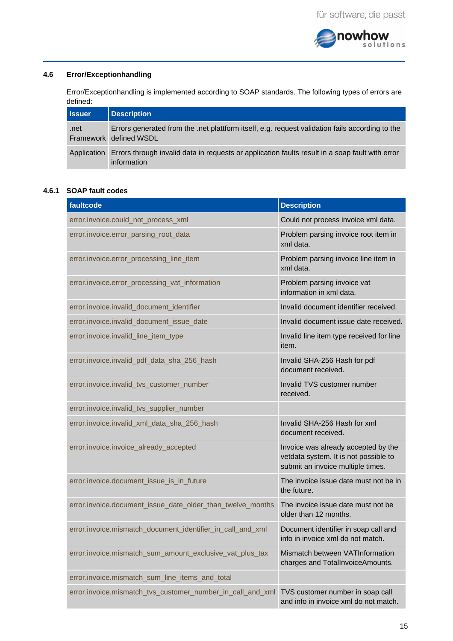

## **4.6 Error/Exceptionhandling**

<span id="page-14-0"></span>Error/Exceptionhandling is implemented according to SOAP standards. The following types of errors are defined:

| <b>Issuer</b> | Description                                                                                                               |
|---------------|---------------------------------------------------------------------------------------------------------------------------|
| .net          | Errors generated from the .net plattform itself, e.g. request validation fails according to the<br>Framework defined WSDL |
| Application   | Errors through invalid data in requests or application faults result in a soap fault with error<br>information            |

## **4.6.1 SOAP fault codes**

| faultcode                                                  | <b>Description</b>                                                                                                |
|------------------------------------------------------------|-------------------------------------------------------------------------------------------------------------------|
| error.invoice.could_not_process_xml                        | Could not process invoice xml data.                                                                               |
| error.invoice.error_parsing_root_data                      | Problem parsing invoice root item in<br>xml data.                                                                 |
| error.invoice.error_processing_line_item                   | Problem parsing invoice line item in<br>xml data.                                                                 |
| error.invoice.error_processing_vat_information             | Problem parsing invoice vat<br>information in xml data.                                                           |
| error.invoice.invalid document identifier                  | Invalid document identifier received.                                                                             |
| error.invoice.invalid_document_issue_date                  | Invalid document issue date received.                                                                             |
| error.invoice.invalid_line_item_type                       | Invalid line item type received for line<br>item.                                                                 |
| error.invoice.invalid_pdf_data_sha_256_hash                | Invalid SHA-256 Hash for pdf<br>document received.                                                                |
| error.invoice.invalid_tvs_customer_number                  | Invalid TVS customer number<br>received.                                                                          |
| error.invoice.invalid_tvs_supplier_number                  |                                                                                                                   |
| error.invoice.invalid_xml_data_sha_256_hash                | Invalid SHA-256 Hash for xml<br>document received.                                                                |
| error.invoice.invoice_already_accepted                     | Invoice was already accepted by the<br>vetdata system. It is not possible to<br>submit an invoice multiple times. |
| error.invoice.document_issue_is_in_future                  | The invoice issue date must not be in<br>the future.                                                              |
| error.invoice.document issue date older than twelve months | The invoice issue date must not be<br>older than 12 months.                                                       |
| error.invoice.mismatch_document_identifier_in_call_and_xml | Document identifier in soap call and<br>info in invoice xml do not match.                                         |
| error.invoice.mismatch sum amount exclusive vat plus tax   | Mismatch between VATInformation<br>charges and TotalInvoiceAmounts.                                               |
| error.invoice.mismatch sum line items and total            |                                                                                                                   |
| error.invoice.mismatch_tvs_customer_number_in_call_and_xml | TVS customer number in soap call<br>and info in invoice xml do not match.                                         |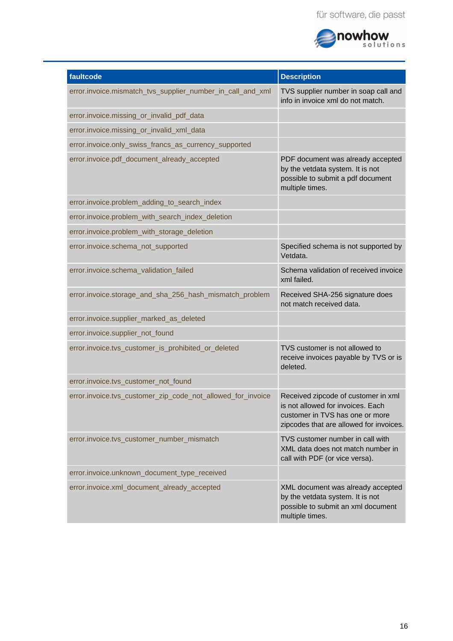

| faultcode                                                   | <b>Description</b>                                                                                                                                     |
|-------------------------------------------------------------|--------------------------------------------------------------------------------------------------------------------------------------------------------|
| error.invoice.mismatch_tvs_supplier_number_in_call_and_xml  | TVS supplier number in soap call and<br>info in invoice xml do not match.                                                                              |
| error.invoice.missing_or_invalid_pdf_data                   |                                                                                                                                                        |
| error.invoice.missing_or_invalid_xml_data                   |                                                                                                                                                        |
| error.invoice.only swiss francs as currency supported       |                                                                                                                                                        |
| error.invoice.pdf_document_already_accepted                 | PDF document was already accepted<br>by the vetdata system. It is not<br>possible to submit a pdf document<br>multiple times.                          |
| error.invoice.problem_adding_to_search_index                |                                                                                                                                                        |
| error.invoice.problem with search index deletion            |                                                                                                                                                        |
| error.invoice.problem_with_storage_deletion                 |                                                                                                                                                        |
| error.invoice.schema not supported                          | Specified schema is not supported by<br>Vetdata.                                                                                                       |
| error.invoice.schema_validation_failed                      | Schema validation of received invoice<br>xml failed.                                                                                                   |
| error.invoice.storage_and_sha_256_hash_mismatch_problem     | Received SHA-256 signature does<br>not match received data.                                                                                            |
| error.invoice.supplier_marked_as_deleted                    |                                                                                                                                                        |
| error.invoice.supplier_not_found                            |                                                                                                                                                        |
| error.invoice.tvs_customer_is_prohibited_or_deleted         | TVS customer is not allowed to<br>receive invoices payable by TVS or is<br>deleted.                                                                    |
| error.invoice.tvs_customer_not_found                        |                                                                                                                                                        |
| error.invoice.tvs customer zip code not allowed for invoice | Received zipcode of customer in xml<br>is not allowed for invoices. Each<br>customer in TVS has one or more<br>zipcodes that are allowed for invoices. |
| error.invoice.tvs_customer_number_mismatch                  | TVS customer number in call with<br>XML data does not match number in<br>call with PDF (or vice versa).                                                |
| error.invoice.unknown document type received                |                                                                                                                                                        |
| error.invoice.xml_document_already_accepted                 | XML document was already accepted<br>by the vetdata system. It is not<br>possible to submit an xml document<br>multiple times.                         |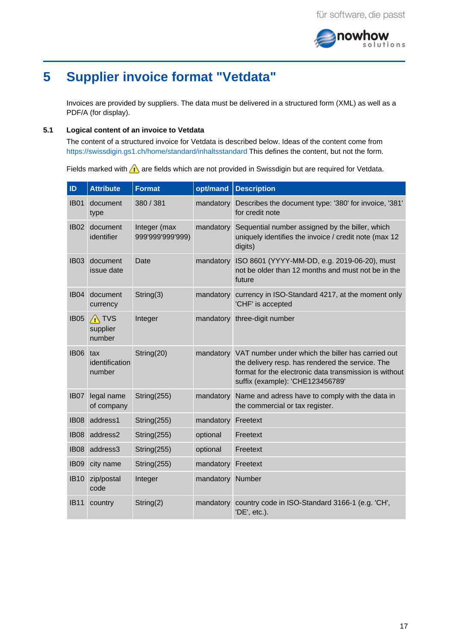

## <span id="page-16-0"></span>**5 Supplier invoice format "Vetdata"**

Invoices are provided by suppliers. The data must be delivered in a structured form (XML) as well as a PDF/A (for display).

#### **5.1 Logical content of an invoice to Vetdata**

<span id="page-16-1"></span>The content of a structured invoice for Vetdata is described below. Ideas of the content come from <https://swissdigin.gs1.ch/home/standard/inhaltsstandard> This defines the content, but not the form.

Fields marked with  $\bigwedge$  are fields which are not provided in Swissdigin but are required for Vetdata.

| ID          | <b>Attribute</b>                             | <b>Format</b>                    | opt/mand  | <b>Description</b>                                                                                                                                                                                  |
|-------------|----------------------------------------------|----------------------------------|-----------|-----------------------------------------------------------------------------------------------------------------------------------------------------------------------------------------------------|
| <b>IB01</b> | document<br>type                             | 380 / 381                        | mandatory | Describes the document type: '380' for invoice, '381'<br>for credit note                                                                                                                            |
| <b>IB02</b> | document<br>identifier                       | Integer (max<br>999'999'999'999) | mandatory | Sequential number assigned by the biller, which<br>uniquely identifies the invoice / credit note (max 12<br>digits)                                                                                 |
| <b>IB03</b> | document<br>issue date                       | Date                             | mandatory | ISO 8601 (YYYY-MM-DD, e.g. 2019-06-20), must<br>not be older than 12 months and must not be in the<br>future                                                                                        |
| <b>IB04</b> | document<br>currency                         | String(3)                        | mandatory | currency in ISO-Standard 4217, at the moment only<br>'CHF' is accepted                                                                                                                              |
| <b>IB05</b> | <b>TVS</b><br>$\wedge$<br>supplier<br>number | Integer                          | mandatory | three-digit number                                                                                                                                                                                  |
| <b>IB06</b> | tax<br>identification<br>number              | String(20)                       | mandatory | VAT number under which the biller has carried out<br>the delivery resp. has rendered the service. The<br>format for the electronic data transmission is without<br>suffix (example): 'CHE123456789' |
| <b>IB07</b> | legal name<br>of company                     | String(255)                      | mandatory | Name and adress have to comply with the data in<br>the commercial or tax register.                                                                                                                  |
| <b>IB08</b> | address1                                     | String(255)                      | mandatory | Freetext                                                                                                                                                                                            |
| <b>IB08</b> | address2                                     | String(255)                      | optional  | Freetext                                                                                                                                                                                            |
| <b>IB08</b> | address3                                     | String(255)                      | optional  | Freetext                                                                                                                                                                                            |
| <b>IB09</b> | city name                                    | String(255)                      | mandatory | Freetext                                                                                                                                                                                            |
| <b>IB10</b> | zip/postal<br>code                           | Integer                          | mandatory | Number                                                                                                                                                                                              |
| <b>IB11</b> | country                                      | String(2)                        | mandatory | country code in ISO-Standard 3166-1 (e.g. 'CH',<br>'DE', etc.).                                                                                                                                     |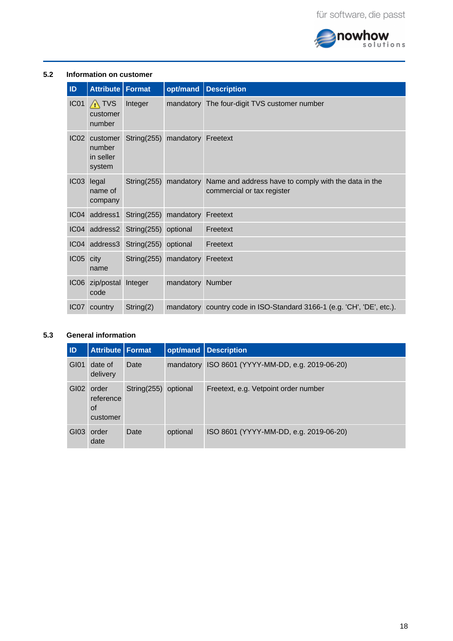

## **5.2 Information on customer**

<span id="page-17-0"></span>

| ID               | <b>Attribute   Format</b>                 |                | opt/mand  | <b>Description</b>                                                                 |
|------------------|-------------------------------------------|----------------|-----------|------------------------------------------------------------------------------------|
| IC01             | $\sqrt{N}$ TVS<br>customer<br>number      | Integer        |           | mandatory The four-digit TVS customer number                                       |
| IC02             | customer<br>number<br>in seller<br>system | String $(255)$ | mandatory | Freetext                                                                           |
| IC03             | legal<br>name of<br>company               | String(255)    | mandatory | Name and address have to comply with the data in the<br>commercial or tax register |
|                  | IC04 address1                             | String $(255)$ | mandatory | Freetext                                                                           |
| IC04             | address2                                  | String $(255)$ | optional  | Freetext                                                                           |
| IC04             | address3                                  | String $(255)$ | optional  | Freetext                                                                           |
| IC05             | city<br>name                              | String $(255)$ | mandatory | Freetext                                                                           |
| IC <sub>06</sub> | zip/postal<br>code                        | Integer        | mandatory | Number                                                                             |
| IC07             | country                                   | String(2)      | mandatory | country code in ISO-Standard 3166-1 (e.g. 'CH', 'DE', etc.).                       |

## **5.3 General information**

<span id="page-17-1"></span>

| <b>ID</b> | <b>Attribute Format</b>                     |             |           | opt/mand <b>Description</b>            |
|-----------|---------------------------------------------|-------------|-----------|----------------------------------------|
| GI01      | date of<br>delivery                         | Date        | mandatory | ISO 8601 (YYYY-MM-DD, e.g. 2019-06-20) |
| GI02      | order<br>reference<br><b>of</b><br>customer | String(255) | optional  | Freetext, e.g. Vetpoint order number   |
| GI03      | order<br>date                               | Date        | optional  | ISO 8601 (YYYY-MM-DD, e.g. 2019-06-20) |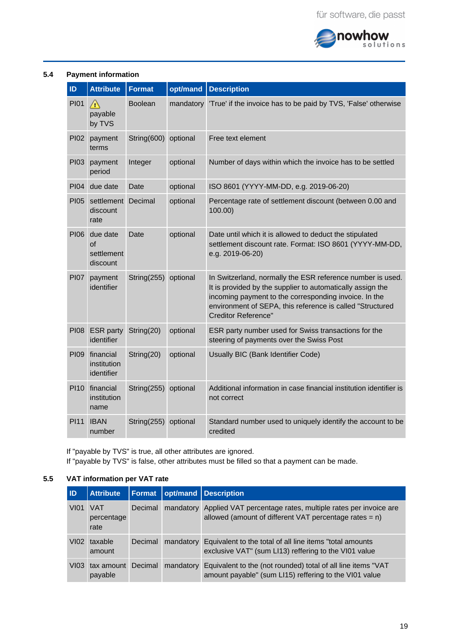

### **5.4 Payment information**

<span id="page-18-0"></span>

| ID          | <b>Attribute</b>                         | <b>Format</b>  | opt/mand  | <b>Description</b>                                                                                                                                                                                                                                                           |
|-------------|------------------------------------------|----------------|-----------|------------------------------------------------------------------------------------------------------------------------------------------------------------------------------------------------------------------------------------------------------------------------------|
| PI01        | $\sqrt{N}$<br>payable<br>by TVS          | <b>Boolean</b> | mandatory | 'True' if the invoice has to be paid by TVS, 'False' otherwise                                                                                                                                                                                                               |
| <b>PI02</b> | payment<br>terms                         | String(600)    | optional  | Free text element                                                                                                                                                                                                                                                            |
| <b>PI03</b> | payment<br>period                        | Integer        | optional  | Number of days within which the invoice has to be settled                                                                                                                                                                                                                    |
| <b>PI04</b> | due date                                 | Date           | optional  | ISO 8601 (YYYY-MM-DD, e.g. 2019-06-20)                                                                                                                                                                                                                                       |
| <b>PI05</b> | settlement<br>discount<br>rate           | Decimal        | optional  | Percentage rate of settlement discount (between 0.00 and<br>100.00)                                                                                                                                                                                                          |
| <b>PI06</b> | due date<br>οf<br>settlement<br>discount | Date           | optional  | Date until which it is allowed to deduct the stipulated<br>settlement discount rate. Format: ISO 8601 (YYYY-MM-DD,<br>e.g. 2019-06-20)                                                                                                                                       |
| <b>PI07</b> | payment<br>identifier                    | String(255)    | optional  | In Switzerland, normally the ESR reference number is used.<br>It is provided by the supplier to automatically assign the<br>incoming payment to the corresponding invoice. In the<br>environment of SEPA, this reference is called "Structured<br><b>Creditor Reference"</b> |
| <b>PI08</b> | <b>ESR</b> party<br>identifier           | String(20)     | optional  | ESR party number used for Swiss transactions for the<br>steering of payments over the Swiss Post                                                                                                                                                                             |
| <b>PI09</b> | financial<br>institution<br>identifier   | String(20)     | optional  | Usually BIC (Bank Identifier Code)                                                                                                                                                                                                                                           |
| <b>PI10</b> | financial<br>institution<br>name         | String $(255)$ | optional  | Additional information in case financial institution identifier is<br>not correct                                                                                                                                                                                            |
| <b>PI11</b> | <b>IBAN</b><br>number                    | String $(255)$ | optional  | Standard number used to uniquely identify the account to be<br>credited                                                                                                                                                                                                      |

If "payable by TVS" is true, all other attributes are ignored. If "payable by TVS" is false, other attributes must be filled so that a payment can be made.

## **5.5 VAT information per VAT rate**

<span id="page-18-1"></span>

| <b>ID</b>        | <b>Attribute</b>                 |         |           | Format opt/mand Description                                                                                                         |
|------------------|----------------------------------|---------|-----------|-------------------------------------------------------------------------------------------------------------------------------------|
| V <sub>101</sub> | <b>VAT</b><br>percentage<br>rate | Decimal |           | mandatory Applied VAT percentage rates, multiple rates per invoice are<br>allowed (amount of different VAT percentage rates = $n$ ) |
| V102             | taxable<br>amount                | Decimal | mandatory | Equivalent to the total of all line items "total amounts"<br>exclusive VAT" (sum LI13) reffering to the VI01 value                  |
| V103             | tax amount<br>payable            | Decimal | mandatory | Equivalent to the (not rounded) total of all line items "VAT<br>amount payable" (sum LI15) reffering to the VI01 value              |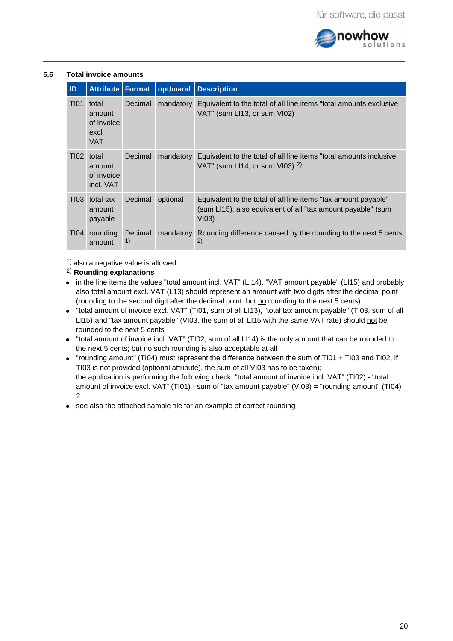

# **5.6 Total invoice amounts**

<span id="page-19-0"></span>

| ID               | <b>Attribute   Format</b>                            |               | opt/mand  | <b>Description</b>                                                                                                                      |
|------------------|------------------------------------------------------|---------------|-----------|-----------------------------------------------------------------------------------------------------------------------------------------|
| <b>TI01</b>      | total<br>amount<br>of invoice<br>excl.<br><b>VAT</b> | Decimal       | mandatory | Equivalent to the total of all line items "total amounts exclusive<br>VAT" (sum LI13, or sum VI02)                                      |
| TI02             | total<br>amount<br>of invoice<br>incl. VAT           | Decimal       | mandatory | Equivalent to the total of all line items "total amounts inclusive<br>VAT" (sum LI14, or sum VI03) $2$ )                                |
| T <sub>103</sub> | total tax<br>amount<br>payable                       | Decimal       | optional  | Equivalent to the total of all line items "tax amount payable"<br>(sum LI15). also equivalent of all "tax amount payable" (sum<br>VI03) |
| <b>TI04</b>      | rounding<br>amount                                   | Decimal<br>1) | mandatory | Rounding difference caused by the rounding to the next 5 cents<br>2)                                                                    |

 $^{1)}$  also a negative value is allowed

## **Rounding explanations** 2)

- in the line items the values "total amount incl. VAT" (LI14), "VAT amount payable" (LI15) and probably also total amount excl. VAT (L13) should represent an amount with two digits after the decimal point (rounding to the second digit after the decimal point, but no rounding to the next 5 cents)
- "total amount of invoice excl. VAT" (TI01, sum of all LI13), "total tax amount payable" (TI03, sum of all LI15) and "tax amount payable" (VI03, the sum of all LI15 with the same VAT rate) should not be rounded to the next 5 cents
- "total amount of invoice incl. VAT" (TI02, sum of all LI14) is the only amount that can be rounded to the next 5 cents; but no such rounding is also acceptable at all
- "rounding amount" (TI04) must represent the difference between the sum of TI01 + TI03 and TI02, if TI03 is not provided (optional attribute), the sum of all VI03 has to be taken); the application is performing the following check: "total amount of invoice incl. VAT" (TI02) - "total amount of invoice excl. VAT" (TI01) - sum of "tax amount payable" (VI03) = "rounding amount" (TI04) ?
- see also the attached sample file for an example of correct rounding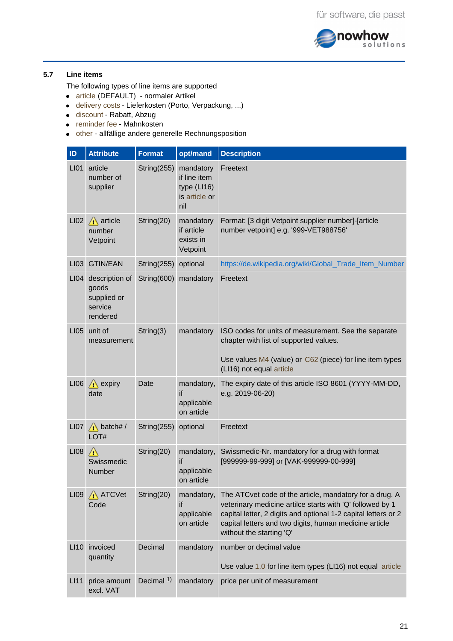

# **5.7 Line items**

<span id="page-20-0"></span>The following types of line items are supported

- article (DEFAULT) normaler Artikel
- delivery costs Lieferkosten (Porto, Verpackung, ...)
- discount Rabatt, Abzug
- reminder fee Mahnkosten
- other allfällige andere generelle Rechnungsposition

| ID               | <b>Attribute</b>                                              | <b>Format</b>         | opt/mand                                                           | <b>Description</b>                                                                                                                                                                                                                                                           |
|------------------|---------------------------------------------------------------|-----------------------|--------------------------------------------------------------------|------------------------------------------------------------------------------------------------------------------------------------------------------------------------------------------------------------------------------------------------------------------------------|
| LI01             | article<br>number of<br>supplier                              | String $(255)$        | mandatory<br>if line item<br>type $(L116)$<br>is article or<br>nil | Freetext                                                                                                                                                                                                                                                                     |
| LI02             | $\bigwedge$ article<br>number<br>Vetpoint                     | String(20)            | mandatory<br>if article<br>exists in<br>Vetpoint                   | Format: [3 digit Vetpoint supplier number]-[article<br>number vetpoint] e.g. '999-VET988756'                                                                                                                                                                                 |
| LIO3             | <b>GTIN/EAN</b>                                               | String $(255)$        | optional                                                           | https://de.wikipedia.org/wiki/Global_Trade_Item_Number                                                                                                                                                                                                                       |
| LI <sub>04</sub> | description of<br>goods<br>supplied or<br>service<br>rendered | String(600)           | mandatory                                                          | Freetext                                                                                                                                                                                                                                                                     |
| <b>LI05</b>      | unit of<br>measurement                                        | String(3)             | mandatory                                                          | ISO codes for units of measurement. See the separate<br>chapter with list of supported values.<br>Use values M4 (value) or C62 (piece) for line item types<br>(LI16) not equal article                                                                                       |
| LI06             | $\bigwedge$ expiry<br>date                                    | Date                  | mandatory,<br>if<br>applicable<br>on article                       | The expiry date of this article ISO 8601 (YYYY-MM-DD,<br>e.g. 2019-06-20)                                                                                                                                                                                                    |
| LI07             | $\bigwedge$ batch# /<br>LOT#                                  | String(255)           | optional                                                           | Freetext                                                                                                                                                                                                                                                                     |
| <b>LI08</b>      | $\sqrt{N}$<br>Swissmedic<br>Number                            | String(20)            | mandatory,<br>if<br>applicable<br>on article                       | Swissmedic-Nr. mandatory for a drug with format<br>[999999-99-999] or [VAK-999999-00-999]                                                                                                                                                                                    |
| LI09             | A ATCVet<br>Code                                              | String(20)            | mandatory,<br>if<br>applicable<br>on article                       | The ATCvet code of the article, mandatory for a drug. A<br>veterinary medicine artilce starts with 'Q' followed by 1<br>capital letter, 2 digits and optional 1-2 capital letters or 2<br>capital letters and two digits, human medicine article<br>without the starting 'Q' |
| LI10             | invoiced<br>quantity                                          | Decimal               | mandatory                                                          | number or decimal value<br>Use value 1.0 for line item types (LI16) not equal article                                                                                                                                                                                        |
| L111             | price amount<br>excl. VAT                                     | Decimal <sup>1)</sup> | mandatory                                                          | price per unit of measurement                                                                                                                                                                                                                                                |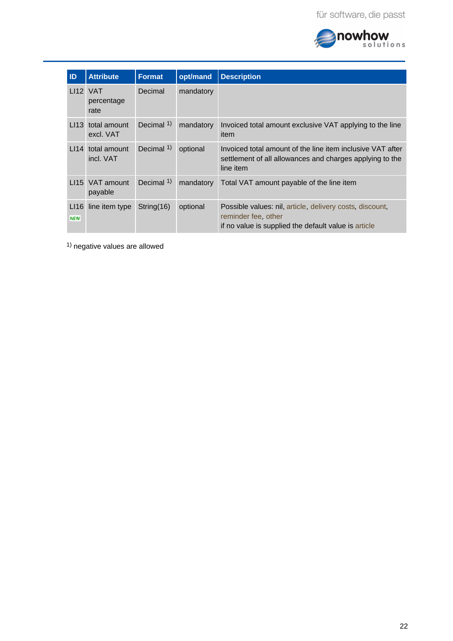

| ID                 | <b>Attribute</b>               | <b>Format</b> | opt/mand  | <b>Description</b>                                                                                                                      |
|--------------------|--------------------------------|---------------|-----------|-----------------------------------------------------------------------------------------------------------------------------------------|
|                    | LI12 VAT<br>percentage<br>rate | Decimal       | mandatory |                                                                                                                                         |
| l 113              | total amount<br>excl. VAT      | Decimal $1$ ) | mandatory | Invoiced total amount exclusive VAT applying to the line<br>item                                                                        |
| l 114              | total amount<br>incl. VAT      | Decimal 1)    | optional  | Invoiced total amount of the line item inclusive VAT after<br>settlement of all allowances and charges applying to the<br>line item     |
| l 115              | VAT amount<br>payable          | Decimal $1$ ) | mandatory | Total VAT amount payable of the line item                                                                                               |
| LI16<br><b>NEW</b> | line item type                 | String $(16)$ | optional  | Possible values: nil, article, delivery costs, discount,<br>reminder fee, other<br>if no value is supplied the default value is article |

 $1)$  negative values are allowed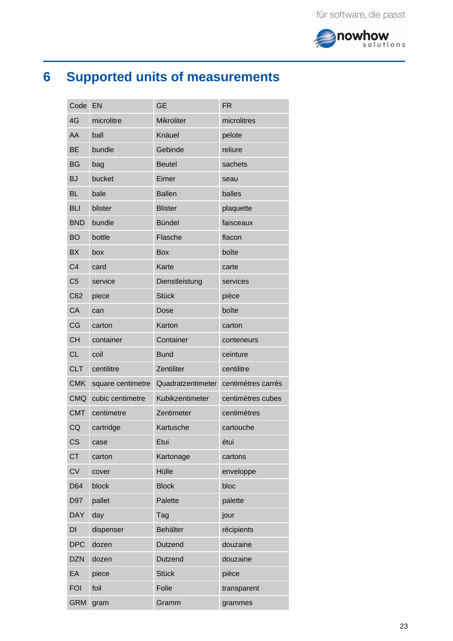

# <span id="page-22-0"></span>**6 Supported units of measurements**

| Code           | EN                | <b>GE</b>         | <b>FR</b>          |
|----------------|-------------------|-------------------|--------------------|
| 4G             | microlitre        | <b>Mikroliter</b> | microlitres        |
| AA             | ball              | Knäuel            | pelote             |
| <b>BE</b>      | bundle            | Gebinde           | reliure            |
| <b>BG</b>      | bag               | <b>Beutel</b>     | sachets            |
| <b>BJ</b>      | bucket            | Eimer             | seau               |
| <b>BL</b>      | bale              | <b>Ballen</b>     | balles             |
| <b>BLI</b>     | blister           | <b>Blister</b>    | plaquette          |
| <b>BND</b>     | bundle            | <b>Bündel</b>     | faisceaux          |
| <b>BO</b>      | bottle            | Flasche           | flacon             |
| <b>BX</b>      | box               | <b>Box</b>        | boîte              |
| C <sub>4</sub> | card              | Karte             | carte              |
| C <sub>5</sub> | service           | Dienstleistung    | services           |
| C62            | piece             | <b>Stück</b>      | pièce              |
| CA             | can               | Dose              | boîte              |
| CG             | carton            | Karton            | carton             |
| <b>CH</b>      | container         | Container         | conteneurs         |
| <b>CL</b>      | coil              | <b>Bund</b>       | ceinture           |
| <b>CLT</b>     | centilitre        | Zentiliter        | centilitre         |
| <b>CMK</b>     | square centimetre | Quadratzentimeter | centimètres carrés |
| <b>CMQ</b>     | cubic centimetre  | Kubikzentimeter   | centimètres cubes  |
| <b>CMT</b>     | centimetre        | Zentimeter        | centimètres        |
| CQ             | cartridge         | Kartusche         | cartouche          |
| CS             | case              | Etui              | étui               |
| <b>CT</b>      | carton            | Kartonage         | cartons            |
| <b>CV</b>      | cover             | Hülle             | enveloppe          |
| D64            | block             | <b>Block</b>      | bloc               |
| D97            | pallet            | Palette           | palette            |
| <b>DAY</b>     | day               | Tag               | jour               |
| DI             | dispenser         | Behälter          | récipients         |
| <b>DPC</b>     | dozen             | Dutzend           | douzaine           |
| <b>DZN</b>     | dozen             | Dutzend           | douzaine           |
| EA             | piece             | <b>Stück</b>      | pièce              |
| <b>FOI</b>     | foil              | Folie             | transparent        |
| <b>GRM</b>     | gram              | Gramm             | grammes            |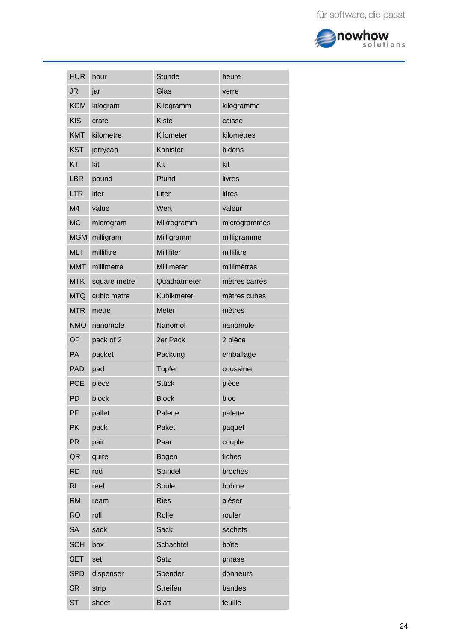

| <b>HUR</b>     | hour         | <b>Stunde</b>   | heure         |
|----------------|--------------|-----------------|---------------|
| <b>JR</b>      | jar          | Glas            | verre         |
| <b>KGM</b>     | kilogram     | Kilogramm       | kilogramme    |
| <b>KIS</b>     | crate        | <b>Kiste</b>    | caisse        |
| <b>KMT</b>     | kilometre    | Kilometer       | kilomètres    |
| <b>KST</b>     | jerrycan     | Kanister        | bidons        |
| <b>KT</b>      | kit          | Kit             | kit           |
| <b>LBR</b>     | pound        | Pfund           | livres        |
| <b>LTR</b>     | liter        | Liter           | litres        |
| M <sub>4</sub> | value        | Wert            | valeur        |
| <b>MC</b>      | microgram    | Mikrogramm      | microgrammes  |
| <b>MGM</b>     | milligram    | Milligramm      | milligramme   |
| <b>MLT</b>     | millilitre   | Milliliter      | millilitre    |
| <b>MMT</b>     | millimetre   | Millimeter      | millimètres   |
| <b>MTK</b>     | square metre | Quadratmeter    | mètres carrés |
| <b>MTQ</b>     | cubic metre  | Kubikmeter      | mètres cubes  |
| <b>MTR</b>     | metre        | Meter           | mètres        |
| <b>NMO</b>     | nanomole     | Nanomol         | nanomole      |
| OP             | pack of 2    | 2er Pack        | 2 pièce       |
| PA             | packet       | Packung         | emballage     |
| <b>PAD</b>     | pad          | Tupfer          | coussinet     |
| <b>PCE</b>     | piece        | <b>Stück</b>    | pièce         |
| PD             | block        | <b>Block</b>    | bloc          |
| PF             | pallet       | Palette         | palette       |
| <b>PK</b>      | pack         | Paket           | paquet        |
| <b>PR</b>      | pair         | Paar            | couple        |
| QR             | quire        | Bogen           | fiches        |
| <b>RD</b>      | rod          | Spindel         | broches       |
| <b>RL</b>      | reel         | Spule           | bobine        |
| <b>RM</b>      | ream         | <b>Ries</b>     | aléser        |
| <b>RO</b>      | roll         | Rolle           | rouler        |
| <b>SA</b>      | sack         | Sack            | sachets       |
| <b>SCH</b>     | box          | Schachtel       | boîte         |
| <b>SET</b>     | set          | <b>Satz</b>     | phrase        |
| <b>SPD</b>     | dispenser    | Spender         | donneurs      |
| <b>SR</b>      | strip        | <b>Streifen</b> | bandes        |
| <b>ST</b>      | sheet        | <b>Blatt</b>    | feuille       |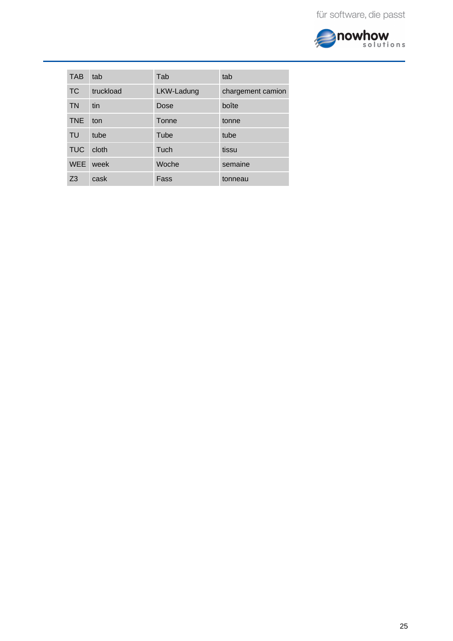

| <b>TAB</b> | tab       | Tab        | tab               |
|------------|-----------|------------|-------------------|
| <b>TC</b>  | truckload | LKW-Ladung | chargement camion |
| <b>TN</b>  | tin       | Dose       | boîte             |
| <b>TNE</b> | ton       | Tonne      | tonne             |
| TU         | tube      | Tube       | tube              |
| <b>TUC</b> | cloth     | Tuch       | tissu             |
| <b>WEE</b> | week      | Woche      | semaine           |
| 73         | cask      | Fass       | tonneau           |